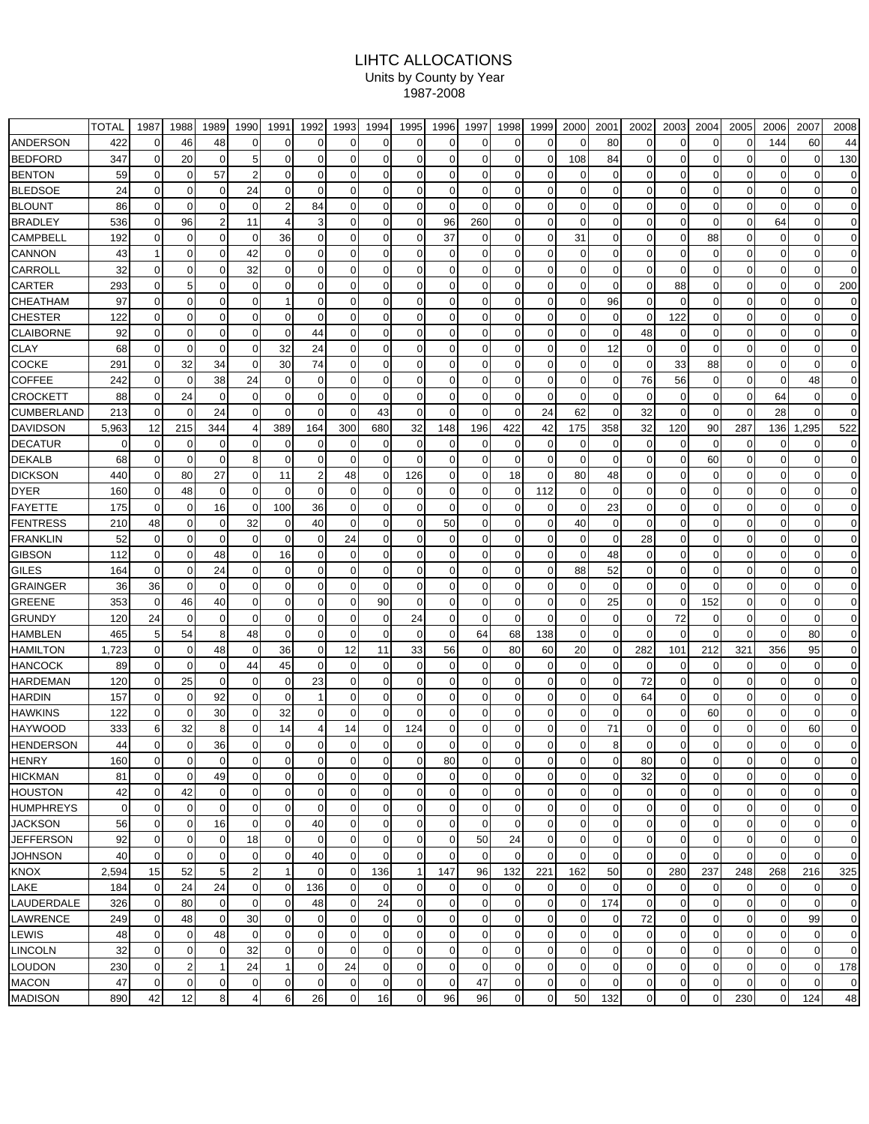## LIHTC ALLOCATIONS Units by County by Year 1987-2008

|                  | <b>TOTAL</b> | 1987           | 1988           | 1989           | 1990             | 1991           | 1992           | 1993           | 1994         | 1995           | 1996           | 1997           | 1998           | 1999           | 2000           | 2001           | 2002           | 2003           | 2004           | 2005           | 2006           | 2007           | 2008           |
|------------------|--------------|----------------|----------------|----------------|------------------|----------------|----------------|----------------|--------------|----------------|----------------|----------------|----------------|----------------|----------------|----------------|----------------|----------------|----------------|----------------|----------------|----------------|----------------|
| ANDERSON         | 422          | $\Omega$       | 46             | 48             | $\Omega$         | $\Omega$       | $\Omega$       | $\Omega$       | ი            | 0              | 0              | $\Omega$       | 0              | $\Omega$       | $\Omega$       | 80             | $\Omega$       | $\Omega$       | $\Omega$       | ი              | 144            | 60             | 44             |
| <b>BEDFORD</b>   | 347          |                | 20             | $\Omega$       | 5                | $\Omega$       |                | $\Omega$       |              | 0              | $\Omega$       | $\Omega$       | $\Omega$       | 0              | 108            | 84             | $\Omega$       |                | $\Omega$       | n              | $\Omega$       |                | 130            |
| <b>BENTON</b>    | 59           | $\Omega$       | $\Omega$       | 57             | 2                | $\overline{0}$ | $\Omega$       | $\Omega$       | ი            | 0              | $\Omega$       | $\Omega$       | 0              | 0              | $\overline{0}$ | 0              | $\Omega$       | $\Omega$       | $\Omega$       |                | $\Omega$       | 0              | $\mathbf 0$    |
| <b>BLEDSOE</b>   | 24           | $\Omega$       | $\Omega$       | $\mathbf 0$    | 24               | $\overline{0}$ | $\Omega$       | $\Omega$       | 0            | $\Omega$       | $\Omega$       | $\Omega$       | $\mathbf 0$    | 0              | $\overline{0}$ | $\Omega$       | 0              | $\Omega$       | $\Omega$       | U              | $\Omega$       | ŋ              | $\mathbf 0$    |
| <b>BLOUNT</b>    | 86           | 0              | $\Omega$       | $\mathbf 0$    | 0                | $\overline{2}$ | 84             | 0              | U            | 0              | $\Omega$       | $\Omega$       | 0              | 0              | $\overline{0}$ | 0              | $\Omega$       | O              | $\Omega$       | 0              | $\Omega$       |                | $\Omega$       |
| <b>BRADLEY</b>   | 536          | $\Omega$       | 96             | $\overline{2}$ | 11               | 4              |                | $\Omega$       | 0            | 0              | 96             | 260            | $\mathbf 0$    | 0              | $\Omega$       | $\Omega$       | $\Omega$       | $\Omega$       | $\Omega$       | 0              | 64             |                | $\mathbf 0$    |
| CAMPBELL         | 192          | $\Omega$       | $\Omega$       | $\mathbf 0$    | 0                | 36             | $\Omega$       | 0              | 0            | $\overline{0}$ | 37             | $\Omega$       | $\mathbf 0$    | 0              | 31             | $\Omega$       | $\overline{0}$ | $\mathbf 0$    | 88             | $\Omega$       | 0              |                | $\mathbf 0$    |
| <b>CANNON</b>    | 43           |                | $\Omega$       | $\Omega$       | 42               | $\overline{0}$ | $\Omega$       | $\Omega$       | U            | 0              | $\Omega$       | $\Omega$       | $\Omega$       | $\Omega$       | $\Omega$       | $\Omega$       | $\overline{0}$ | $\Omega$       | $\Omega$       | n              |                |                | $\Omega$       |
| CARROLL          | 32           | $\Omega$       | 0              | $\mathbf 0$    | 32               | $\overline{0}$ | 0              | $\mathbf 0$    | U            | 0              | $\Omega$       | $\Omega$       | 0              | 0              | $\Omega$       | 0              | $\Omega$       | $\Omega$       | $\Omega$       | n              | $\Omega$       |                | $\Omega$       |
| CARTER           | 293          | $\Omega$       | 5              | $\mathbf 0$    | 0                | $\overline{0}$ | $\Omega$       | $\mathbf 0$    | 0            | 0              | $\Omega$       | $\Omega$       | $\mathbf 0$    | 0              | $\overline{0}$ | $\Omega$       | $\mathbf 0$    | 88             | $\mathbf 0$    | 0              | 0              | $\Omega$       | 200            |
| CHEATHAM         | 97           | $\Omega$       | $\Omega$       | $\mathbf 0$    | $\Omega$         | 11             | $\Omega$       | 0              | 0            | $\Omega$       | $\Omega$       | $\Omega$       | $\mathbf 0$    | 0              | $\overline{0}$ | 96             | $\Omega$       | $\Omega$       | $\Omega$       | U              | 0              | $\Omega$       | 0              |
| <b>CHESTER</b>   | 122          | $\Omega$       | 0              | $\mathbf 0$    | 0                | $\overline{0}$ | $\Omega$       | 0              | 0            | 0              | $\Omega$       | $\Omega$       | 0              | 0              | $\Omega$       | 0              | 0              | 122            | $\mathbf 0$    | n              | $\Omega$       |                | $\Omega$       |
| <b>CLAIBORNE</b> | 92           | $\Omega$       | $\Omega$       | $\mathbf 0$    | 0                | $\overline{0}$ | 44             | $\mathbf 0$    | 0            | 0              | $\Omega$       | $\Omega$       | $\mathbf 0$    | 0              | $\overline{0}$ | $\Omega$       | 48             | $\Omega$       | $\mathbf 0$    | ი              | $\Omega$       |                | $\Omega$       |
| <b>CLAY</b>      | 68           | $\Omega$       | $\Omega$       | $\mathbf 0$    | 0                | 32             | 24             | $\mathbf 0$    | ი            | 0              | $\Omega$       | $\Omega$       | 0              | 0              | $\overline{0}$ | 12             | $\mathbf 0$    | $\Omega$       | $\Omega$       | ი              | 0              |                | $\Omega$       |
| COCKE            | 291          | $\overline{0}$ | 32             | 34             | $\Omega$         | 30             | 74             | 0              | ი            | 0              | $\Omega$       | $\Omega$       | 0              | $\Omega$       | $\overline{0}$ | $\Omega$       | $\mathbf 0$    | 33             | 88             | n              | $\Omega$       |                | $\mathbf 0$    |
| COFFEE           | 242          |                | $\Omega$       | 38             | 24               | $\Omega$       | 0              | $\Omega$       |              | U              |                | 0              | $\Omega$       | O              | $\Omega$       | 0              | 76             | 56             | $\Omega$       |                |                | 48             | $\Omega$       |
| CROCKETT         | 88           | $\Omega$       | 24             | $\mathbf 0$    | 0                | $\overline{0}$ | $\Omega$       | $\Omega$       | 0            | $\overline{0}$ | $\Omega$       | $\Omega$       | $\mathbf 0$    | $\mathbf 0$    | $\overline{0}$ | $\Omega$       | $\mathbf 0$    | $\Omega$       | $\mathbf 0$    | 0              | 64             | 0              | $\mathbf 0$    |
| CUMBERLAND       | 213          | $\Omega$       | $\Omega$       | 24             | 0                | $\Omega$       | $\Omega$       | $\Omega$       | 43           | $\Omega$       | $\Omega$       | $\Omega$       | $\mathbf 0$    | 24             | 62             | $\Omega$       | 32             | $\Omega$       | $\Omega$       | $\Omega$       | 28             | $\Omega$       | $\mathbf 0$    |
| <b>DAVIDSON</b>  | 5,963        | 12             | 215            | 344            | 4                | 389            | 164            | 300            | 680          | 32             | 148            | 196            | 422            | 42             | 175            | 358            | 32             | 120            | 90             | 287            | 136            | ,295<br>-1     | 522            |
| <b>DECATUR</b>   | 0            | $\Omega$       | $\Omega$       | $\mathbf 0$    | 0                | $\overline{0}$ | $\Omega$       | 0              | 0            | 0              | $\Omega$       | $\Omega$       | 0              | 0              | $\Omega$       | 0              | $\mathbf 0$    | $\mathbf 0$    | $\mathbf 0$    | 0              | 0              |                | 0              |
| DEKALB           | 68           | $\Omega$       | $\Omega$       | $\mathbf 0$    | 8                | $\overline{0}$ | $\Omega$       | $\Omega$       | 0            | 0              | $\Omega$       | $\Omega$       | 0              | 0              | $\overline{0}$ | $\Omega$       | 0              | $\mathbf 0$    | 60             | 0              | 0              |                | $\Omega$       |
| DICKSON          | 440          | $\Omega$       | 80             | 27             | 0                | 11             | 2              | 48             | 0            | 126            | $\overline{0}$ | $\Omega$       | 18             | $\Omega$       | 80             | 48             | $\overline{0}$ | $\Omega$       | $\Omega$       | ი              | 0              |                | $\mathbf 0$    |
| DYER             | 160          | $\Omega$       | 48             | $\mathbf 0$    | $\Omega$         | $\Omega$       | $\Omega$       | $\Omega$       | ŋ            | $\Omega$       | $\Omega$       | $\Omega$       | 0              | 112            | $\overline{0}$ | $\Omega$       | $\Omega$       | O              | $\Omega$       | U              |                |                | $\Omega$       |
| FAYETTE          | 175          | $\overline{0}$ | $\Omega$       | 16             | 0                | 100            | 36             | $\mathbf 0$    | 0            | 0              | $\overline{0}$ | $\overline{0}$ | $\mathbf 0$    | 0              | $\overline{0}$ | 23             | $\Omega$       | $\Omega$       | $\mathbf 0$    | 0              | 0              | O              | $\mathbf 0$    |
| <b>FENTRESS</b>  | 210          | 48             | $\Omega$       | $\mathbf 0$    | 32               | $\overline{0}$ | 40             | $\Omega$       | U            | $\Omega$       | 50             | $\Omega$       | $\mathbf 0$    | 0              | 40             | $\Omega$       | $\Omega$       | $\Omega$       | 0              | n              | $\Omega$       |                | $\Omega$       |
| <b>FRANKLIN</b>  | 52           | $\Omega$       | $\Omega$       | $\mathbf 0$    | $\mathbf 0$      | $\overline{0}$ | 0              | 24             | 0            | 0              | $\Omega$       | $\overline{0}$ | 0              | $\mathbf 0$    | $\overline{0}$ | $\mathbf 0$    | 28             | $\Omega$       | $\mathbf 0$    | 0              | $\Omega$       | ŋ              | $\mathbf 0$    |
| <b>GIBSON</b>    | 112          | $\Omega$       | 0              | 48             | 0                | 16             | 0              | 0              | ŋ            | $\Omega$       | $\Omega$       | 0              | 0              | $\Omega$       | $\Omega$       | 48             | 0              | O              | 0              |                | $\Omega$       |                | $\Omega$       |
| <b>GILES</b>     | 164          | 0              | $\Omega$       | 24             | 0                | $\overline{0}$ | 0              | 0              | ი            | 0              | $\Omega$       | $\Omega$       | 0              | 0              | 88             | 52             | 0              | 0              | $\mathbf 0$    | ი              | 0              |                | 0              |
| <b>GRAINGER</b>  | 36           | 36             | $\Omega$       | $\Omega$       | $\Omega$         | $\Omega$       | 0              | $\Omega$       | ŋ            | 0              | $\Omega$       | $\Omega$       | $\Omega$       | 0              | $\overline{0}$ | $\Omega$       | $\Omega$       | $\Omega$       | $\Omega$       |                | 0              |                | $\Omega$       |
| GREENE           | 353          | $\Omega$       | 46             | 40             | 0                | $\Omega$       | 0              | 0              | 90           | 0              | $\Omega$       | $\Omega$       | 0              | $\Omega$       | $\overline{0}$ | 25             | 0              | $\mathbf 0$    | 152            |                | $\Omega$       |                | $\Omega$       |
| GRUNDY           | 120          | 24             | $\Omega$       | $\Omega$       | $\Omega$         | $\Omega$       | U              | $\Omega$       | 0            | 24             | $\Omega$       | $\Omega$       | $\mathbf 0$    | $\Omega$       | $\overline{0}$ | $\Omega$       | $\Omega$       | 72             | $\Omega$       | 0              | $\Omega$       |                | $\Omega$       |
| HAMBLEN          | 465          | 5 <sup>1</sup> | 54             | 8              | 48               | $\overline{0}$ | $\Omega$       | $\Omega$       | $\Omega$     | $\Omega$       | $\Omega$       | 64             | 68             | 138            | $\overline{0}$ | $\mathbf 0$    | $\Omega$       | $\Omega$       | $\Omega$       | $\Omega$       | $\Omega$       | 80             | $\mathbf 0$    |
| <b>HAMILTON</b>  | 1,723        | $\Omega$       | 0              | 48             | $\mathbf 0$      | 36             | $\Omega$       | 12             | 11           | 33             | 56             | $\overline{0}$ | 80             | 60             | 20             | 0              | 282            | 101            | 212            | 321            | 356            | 95             | $\mathbf 0$    |
| HANCOCK          | 89           | 0              | $\Omega$       | $\mathbf 0$    | 44               | 45             | 0              | 0              | 0            | 0              | $\Omega$       | $\Omega$       | $\Omega$       | $\Omega$       | $\Omega$       | $\Omega$       | 0              | $\Omega$       | $\mathbf 0$    | ი              | $\Omega$       |                | $\mathbf 0$    |
| HARDEMAN         | 120          | $\overline{0}$ | 25             | $\mathbf 0$    | 0                | $\overline{0}$ | 23             | 0              | ი            | 0              | $\Omega$       | 0              | 0              | 0              | $\overline{0}$ | 0              | 72             | $\Omega$       | 0              | ი              | 0              |                | $\mathbf 0$    |
| HARDIN           | 157          | 0              | $\Omega$       | 92             | $\Omega$         | $\Omega$       |                | $\overline{0}$ | ŋ            | 0              | $\Omega$       | $\Omega$       | $\Omega$       | 0              | $\overline{0}$ | $\mathbf 0$    | 64             | $\Omega$       | $\Omega$       |                | 0              |                | $\Omega$       |
| HAWKINS          | 122          |                | $\Omega$       | 30             | $\Omega$         | 32             | $\Omega$       | $\Omega$       |              | ŋ              | $\Omega$       | $\Omega$       | O              | O              | $\Omega$       | $\Omega$       | 0              | $\Omega$       | 60             |                |                |                | $\Omega$       |
| HAYWOOD          | 333          | 6              | 32             | 8              | 0                | 14             |                | 14             | ი            | 124            | $\Omega$       | 0              | $\Omega$       | 0              | $\Omega$       | 71             | $\Omega$       | $\Omega$       | $\Omega$       |                | ი              | 60             | $\Omega$       |
| HENDERSON        | 44           |                | $\Omega$       | 36             | 0                | $\overline{0}$ | 0              | $\mathbf 0$    | $\Omega$     | $\overline{0}$ | $\Omega$       | $\overline{0}$ | $\mathbf 0$    | 0              | $\overline{0}$ | 8              | 0              | $\Omega$       | $\Omega$       | 0              | 0              | 0              | $\Omega$       |
| HENRY            | 160          | $\overline{0}$ | $\overline{0}$ | $\overline{0}$ | $\overline{0}$   | $\overline{0}$ | $\overline{0}$ | $\overline{0}$ | $\mathbf{0}$ | $\mathbf{0}$   | 80             | $\overline{0}$ | $\overline{0}$ | $\overline{0}$ | $\overline{0}$ | $\overline{0}$ | 80             | $\overline{0}$ | $\mathbf 0$    | $\overline{0}$ | $\overline{0}$ | $\overline{0}$ | $\overline{0}$ |
| HICKMAN          | 81           | $\overline{0}$ | $\overline{0}$ | 49             | $\pmb{0}$        | $\overline{0}$ | $\mathbf 0$    | $\overline{0}$ | 0            | $\mathbf 0$    | $\overline{0}$ | $\overline{0}$ | $\mathbf 0$    | $\pmb{0}$      | $\overline{0}$ | $\mathbf 0$    | 32             | $\mathbf 0$    | $\mathbf 0$    | $\overline{0}$ | $\mathbf 0$    | $\mathbf 0$    | $\overline{0}$ |
| <b>HOUSTON</b>   | 42           | $\overline{0}$ | 42             | $\mathbf 0$    | $\pmb{0}$        | $\overline{O}$ | $\overline{0}$ | $\overline{0}$ | 0            | $\overline{0}$ | $\overline{0}$ | $\overline{0}$ | $\mathbf 0$    | $\pmb{0}$      | $\overline{0}$ | $\overline{0}$ | $\overline{0}$ | $\mathbf 0$    | $\mathbf 0$    | $\overline{0}$ | 0              | $\mathbf 0$    | $\mathbf 0$    |
| <b>HUMPHREYS</b> | 0            | $\overline{0}$ | $\overline{0}$ | $\mathbf 0$    | $\pmb{0}$        | $\overline{0}$ | $\overline{0}$ | $\overline{O}$ | $\mathbf 0$  | $\mathbf 0$    | $\overline{0}$ | $\overline{0}$ | $\mathbf 0$    | $\mathbf 0$    | $\overline{0}$ | $\overline{0}$ | $\overline{0}$ | $\mathbf 0$    | $\mathbf 0$    | $\overline{0}$ | $\overline{0}$ | $\mathbf 0$    | $\overline{0}$ |
| <b>JACKSON</b>   | 56           | $\mathbf 0$    | $\overline{0}$ | 16             | $\mathbf 0$      | $\overline{0}$ | 40             | $\mathbf 0$    | 0            | $\overline{0}$ | $\overline{0}$ | $\overline{0}$ | $\mathbf 0$    | $\mathbf 0$    | $\mathbf{0}$   | $\overline{0}$ | $\overline{0}$ | $\mathbf 0$    | $\mathbf 0$    | $\mathbf 0$    | $\mathbf 0$    | $\overline{0}$ | $\overline{0}$ |
| JEFFERSON        | 92           | $\mathbf 0$    | $\overline{0}$ | $\mathbf 0$    | 18               | $\overline{0}$ | $\mathbf 0$    | $\overline{0}$ | 0            | $\mathbf 0$    | $\overline{0}$ | 50             | 24             | $\pmb{0}$      | $\overline{0}$ | $\overline{0}$ | $\overline{0}$ | $\mathbf 0$    | $\overline{0}$ | $\mathbf 0$    | 0              | $\mathbf 0$    | $\overline{0}$ |
| JOHNSON          | 40           | $\mathbf 0$    | $\mathbf 0$    | $\pmb{0}$      | $\pmb{0}$        | $\overline{0}$ | 40             | $\mathbf 0$    | 0            | $\mathbf 0$    | $\overline{0}$ | $\mathbf 0$    | $\mathbf 0$    | $\mathbf 0$    | $\overline{0}$ | $\overline{0}$ | $\overline{0}$ | $\mathbf 0$    | $\mathbf 0$    | $\mathbf 0$    | $\mathbf 0$    | $\overline{0}$ | $\mathbf 0$    |
| KNOX             | 2,594        | 15             | 52             | 5              | $\boldsymbol{2}$ | 1              | $\overline{0}$ | $\mathbf 0$    | 136          | 1              | 147            | 96             | 132            | 221            | 162            | 50             | $\overline{0}$ | 280            | 237            | 248            | 268            | 216            | 325            |
| LAKE             | 184          | $\mathbf 0$    | 24             | 24             | $\pmb{0}$        | $\overline{0}$ | 136            | $\mathbf 0$    | 0            | $\mathbf 0$    | $\overline{0}$ | $\mathbf 0$    | $\mathbf 0$    | 0              | $\mathbf 0$    | $\overline{0}$ | $\overline{0}$ | $\mathbf 0$    | $\mathbf 0$    | 0              | 0              | $\mathbf 0$    | $\overline{0}$ |
| LAUDERDALE       | 326          | $\overline{0}$ | 80             | $\mathbf 0$    | $\mathsf 0$      | $\overline{0}$ | 48             | $\mathbf 0$    | 24           | $\mathbf 0$    | $\overline{0}$ | $\overline{0}$ | $\mathbf 0$    | $\mathbf 0$    | $\overline{0}$ | 174            | $\overline{0}$ | $\mathbf 0$    | $\mathbf 0$    | $\overline{0}$ | $\mathbf 0$    | $\mathbf 0$    | $\overline{0}$ |
| LAWRENCE         | 249          | $\overline{0}$ | 48             | $\overline{0}$ | 30               | $\mathbf 0$    | $\overline{0}$ | $\mathbf 0$    | $\mathbf 0$  | $\mathbf 0$    | $\overline{0}$ | $\overline{0}$ | $\pmb{0}$      | $\mathbf 0$    | $\overline{0}$ | $\mathbf 0$    | 72             | $\mathbf 0$    | $\mathbf 0$    | $\overline{0}$ | $\mathbf 0$    | 99             | $\overline{0}$ |
| LEWIS            | 48           | $\overline{0}$ | $\overline{0}$ | 48             | $\mathbf 0$      | $\overline{O}$ | $\mathbf 0$    | $\mathbf{0}$   | 0            | $\overline{0}$ | $\overline{0}$ | $\overline{0}$ | $\mathbf 0$    | $\mathbf 0$    | $\mathbf{0}$   | $\mathbf{0}$   | $\overline{0}$ | $\mathbf 0$    | $\mathbf 0$    | $\mathbf 0$    | $\mathbf 0$    | $\overline{0}$ | $\mathbf 0$    |
| <b>LINCOLN</b>   | 32           | $\overline{0}$ | $\overline{0}$ | $\mathbf 0$    | 32               | $\overline{O}$ | $\overline{0}$ | $\overline{0}$ | 0            | $\mathbf 0$    | $\overline{0}$ | $\overline{0}$ | $\mathbf 0$    | $\mathbf 0$    | $\overline{0}$ | $\overline{0}$ | $\overline{0}$ | $\mathbf 0$    | $\mathbf 0$    | 0              | 0              | $\overline{0}$ | $\mathbf 0$    |
| LOUDON           | 230          | $\overline{O}$ | $\overline{2}$ | $\mathbf{1}$   | 24               | 1              | $\overline{0}$ | 24             | 0            | $\mathbf 0$    | $\overline{0}$ | $\overline{0}$ | $\mathbf 0$    | $\pmb{0}$      | $\overline{0}$ | $\overline{0}$ | $\overline{0}$ | $\mathbf 0$    | $\mathbf 0$    | $\mathbf 0$    | $\mathbf 0$    | $\mathbf 0$    | 178            |
| <b>MACON</b>     | 47           | $\mathbf 0$    | $\mathbf 0$    | $\mathbf 0$    | 0                | $\mathbf 0$    | $\mathbf 0$    | $\mathbf 0$    | 0            | $\mathbf 0$    | $\mathbf 0$    | 47             | $\mathbf 0$    | 0              | $\overline{0}$ | $\mathbf 0$    | $\overline{O}$ | $\mathbf 0$    | $\mathbf 0$    | 0              | $\overline{0}$ | $\overline{0}$ | $\overline{0}$ |
| <b>MADISON</b>   | 890          | 42             | 12             | 8              | 4                | 6              | 26             | $\overline{0}$ | 16           | $\mathbf 0$    | 96             | 96             | $\mathbf 0$    | $\pmb{0}$      | 50             | 132            | $\overline{0}$ | $\mathbf 0$    | $\overline{0}$ | 230            | $\overline{0}$ | 124            | 48             |